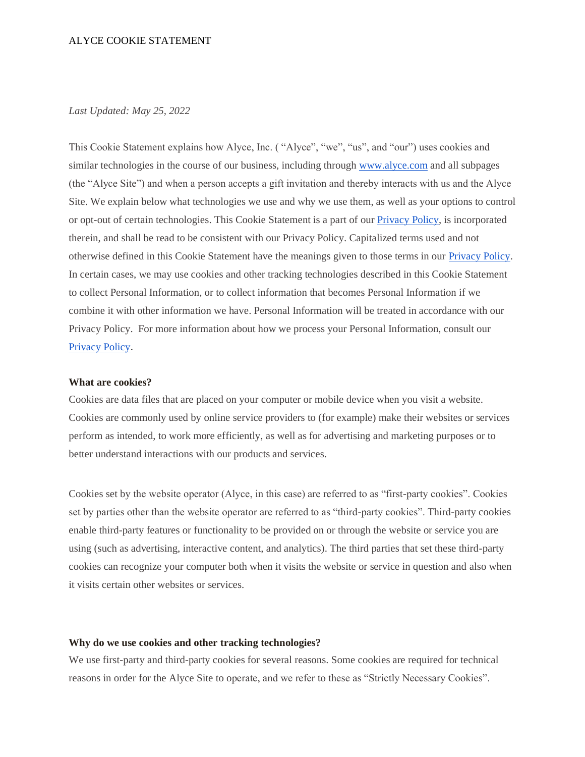# *Last Updated: May 25, 2022*

This Cookie Statement explains how Alyce, Inc. ( "Alyce", "we", "us", and "our") uses cookies and similar technologies in the course of our business, including through [www.alyce.com](http://www.alyce.com/) and all subpages (the "Alyce Site") and when a person accepts a gift invitation and thereby interacts with us and the Alyce Site. We explain below what technologies we use and why we use them, as well as your options to control or opt-out of certain technologies. This Cookie Statement is a part of ou[r Privacy Policy,](https://www.alyce.com/privacy-policy/) is incorporated therein, and shall be read to be consistent with our Privacy Policy. Capitalized terms used and not otherwise defined in this Cookie Statement have the meanings given to those terms in our [Privacy Policy.](https://www.alyce.com/privacy-policy/) In certain cases, we may use cookies and other tracking technologies described in this Cookie Statement to collect Personal Information, or to collect information that becomes Personal Information if we combine it with other information we have. Personal Information will be treated in accordance with our Privacy Policy. For more information about how we process your Personal Information, consult our [Privacy Policy](https://www.alyce.com/privacy-policy/)[.](https://www.alyce.com/privacy-policy/)

#### **What are cookies?**

Cookies are data files that are placed on your computer or mobile device when you visit a website. Cookies are commonly used by online service providers to (for example) make their websites or services perform as intended, to work more efficiently, as well as for advertising and marketing purposes or to better understand interactions with our products and services.

Cookies set by the website operator (Alyce, in this case) are referred to as "first-party cookies". Cookies set by parties other than the website operator are referred to as "third-party cookies". Third-party cookies enable third-party features or functionality to be provided on or through the website or service you are using (such as advertising, interactive content, and analytics). The third parties that set these third-party cookies can recognize your computer both when it visits the website or service in question and also when it visits certain other websites or services.

## **Why do we use cookies and other tracking technologies?**

We use first-party and third-party cookies for several reasons. Some cookies are required for technical reasons in order for the Alyce Site to operate, and we refer to these as "Strictly Necessary Cookies".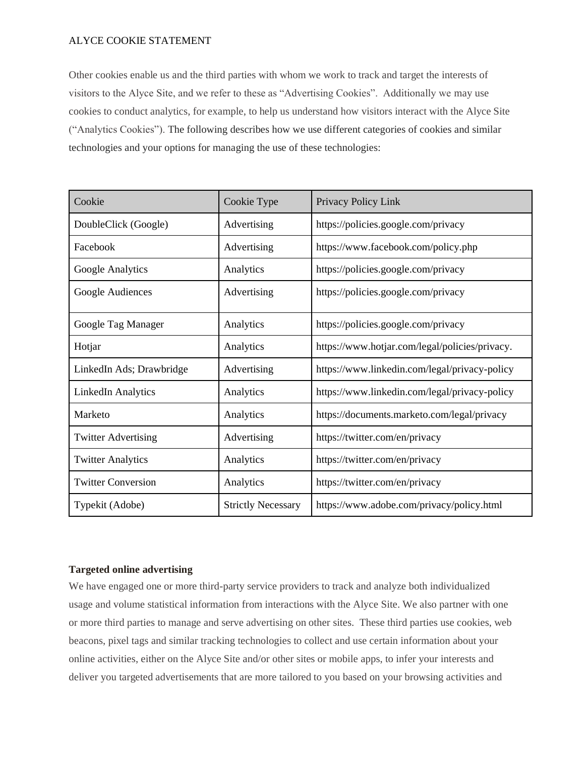Other cookies enable us and the third parties with whom we work to track and target the interests of visitors to the Alyce Site, and we refer to these as "Advertising Cookies". Additionally we may use cookies to conduct analytics, for example, to help us understand how visitors interact with the Alyce Site ("Analytics Cookies"). The following describes how we use different categories of cookies and similar technologies and your options for managing the use of these technologies:

| Cookie                     | Cookie Type               | Privacy Policy Link                            |
|----------------------------|---------------------------|------------------------------------------------|
| DoubleClick (Google)       | Advertising               | https://policies.google.com/privacy            |
| Facebook                   | Advertising               | https://www.facebook.com/policy.php            |
| Google Analytics           | Analytics                 | https://policies.google.com/privacy            |
| Google Audiences           | Advertising               | https://policies.google.com/privacy            |
| Google Tag Manager         | Analytics                 | https://policies.google.com/privacy            |
| Hotjar                     | Analytics                 | https://www.hotjar.com/legal/policies/privacy. |
| LinkedIn Ads; Drawbridge   | Advertising               | https://www.linkedin.com/legal/privacy-policy  |
| <b>LinkedIn Analytics</b>  | Analytics                 | https://www.linkedin.com/legal/privacy-policy  |
| Marketo                    | Analytics                 | https://documents.marketo.com/legal/privacy    |
| <b>Twitter Advertising</b> | Advertising               | https://twitter.com/en/privacy                 |
| <b>Twitter Analytics</b>   | Analytics                 | https://twitter.com/en/privacy                 |
| <b>Twitter Conversion</b>  | Analytics                 | https://twitter.com/en/privacy                 |
| Typekit (Adobe)            | <b>Strictly Necessary</b> | https://www.adobe.com/privacy/policy.html      |

# **Targeted online advertising**

We have engaged one or more third-party service providers to track and analyze both individualized usage and volume statistical information from interactions with the Alyce Site. We also partner with one or more third parties to manage and serve advertising on other sites. These third parties use cookies, web beacons, pixel tags and similar tracking technologies to collect and use certain information about your online activities, either on the Alyce Site and/or other sites or mobile apps, to infer your interests and deliver you targeted advertisements that are more tailored to you based on your browsing activities and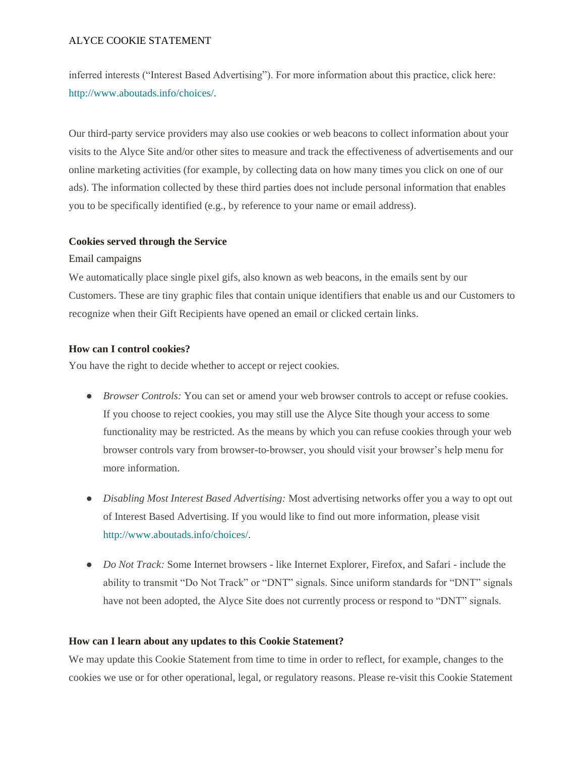inferred interests ("Interest Based Advertising"). For more information about this practice, click here: [http://www.aboutads.info/choices/.](http://www.aboutads.info/choices)

Our third-party service providers may also use cookies or web beacons to collect information about your visits to the Alyce Site and/or other sites to measure and track the effectiveness of advertisements and our online marketing activities (for example, by collecting data on how many times you click on one of our ads). The information collected by these third parties does not include personal information that enables you to be specifically identified (e.g., by reference to your name or email address).

## **Cookies served through the Service**

#### Email campaigns

We automatically place single pixel gifs, also known as web beacons, in the emails sent by our Customers. These are tiny graphic files that contain unique identifiers that enable us and our Customers to recognize when their Gift Recipients have opened an email or clicked certain links.

## **How can I control cookies?**

You have the right to decide whether to accept or reject cookies.

- *Browser Controls:* You can set or amend your web browser controls to accept or refuse cookies. If you choose to reject cookies, you may still use the Alyce Site though your access to some functionality may be restricted. As the means by which you can refuse cookies through your web browser controls vary from browser-to-browser, you should visit your browser's help menu for more information.
- *Disabling Most Interest Based Advertising:* Most advertising networks offer you a way to opt out of Interest Based Advertising. If you would like to find out more information, please visit [http://www.aboutads.info/choices/.](http://www.aboutads.info/choices/)
- *Do Not Track:* Some Internet browsers like Internet Explorer, Firefox, and Safari include the ability to transmit "Do Not Track" or "DNT" signals. Since uniform standards for "DNT" signals have not been adopted, the Alyce Site does not currently process or respond to "DNT" signals.

#### **How can I learn about any updates to this Cookie Statement?**

We may update this Cookie Statement from time to time in order to reflect, for example, changes to the cookies we use or for other operational, legal, or regulatory reasons. Please re-visit this Cookie Statement